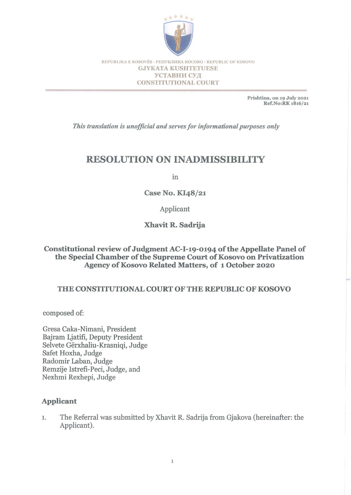

REPUBLIKA E KOSOVËS - PENYBJIHKA KOCOBO - REPUBLIC OF KOSOVO GJYKATA KUSHTETUESE УСТАВНИ СУД CONSTITUTIONAL COURT

> Prishtina, on 19 July 2021 Ref.No:RK 1816/21

*This translation is unofficial and serves for informational purposes only* 

# **RESOLUTION ON INADMISSIBILITY**

in

Case No. KI48/21

Applicant

Xhavit R. Sadrija

### Constitutional review of Judgment AC-I-19-0194 of the Appellate Panel of the Special Chamber of the Supreme Court of Kosovo on Privatization Agency of Kosovo Related Matters, of 1 October 2020

### THE CONSTITUTIONAL COURT OF THE REPUBLIC OF KOSOVO

composed of:

Gresa Caka-Nimani, President Bajram Ljatifi, Deputy President Selvete Gërxhaliu-Krasniqi, Judge Safet Hoxha, Judge Radomir Laban, Judge Remzije Istrefi-Peci, Judge, and Nexhmi Rexhepi, Judge

### Applicant

1. The Referral was submitted by Xhavit R. Sadrija from Gjakova (hereinafter: the Applicant).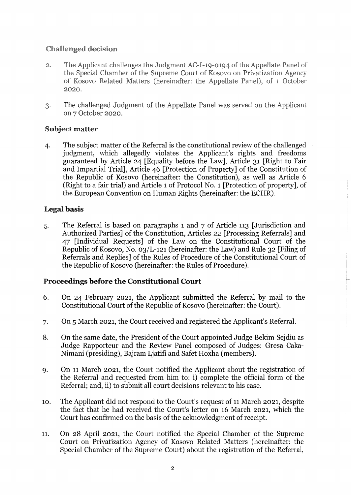# **Challenged decision**

- The Applicant challenges the Judgment AC-I-19-0194 of the Appellate Panel of  $2.$ the Special Chamber of the Supreme Court of Kosovo on Privatization Agency of Kosovo Related Matters (hereinafter: the Appellate Panel), of 1 October 2020.
- The challenged Judgment of the Appellate Panel was served on the Applicant 3. on 7 October 2020.

### Subject matter

4. The subject matter of the Referral is the constitutional review of the challenged judgment, which allegedly violates the Applicant's rights and freedoms guaranteed by Article 24 [Equality before the Law], Article 31 [Right to Fair and Impartial Trial], Article 46 [Protection of Property] of the Constitution of the Republic of Kosovo (hereinafter: the Constitution), as well as Article 6 (Right to a fair trial) and Article 1 of Protocol NO.1 [Protection of property], of the European Convention on Human Rights (hereinafter: the ECHR).

# Legal basis

5. The Referral is based on paragraphs 1 and 7 of Article 113 [Jurisdiction and Authorized Parties] of the Constitution, Articles 22 [Processing Referrals] and 47 [Individual Requests] of the Law on the Constitutional Court of the Republic of Kosovo, No. 03/L-121 (hereinafter: the Law) and Rule 32 [Filing of Referrals and Replies] of the Rules of Procedure of the Constitutional Court of the Republic of Kosovo (hereinafter: the Rules of Procedure).

# Proceedings before the Constitutional Court

- 6. On 24 February 2021, the Applicant submitted the Referral by mail to the Constitutional Court of the Republic of Kosovo (hereinafter: the Court).
- 7. On 5 March 2021, the Court received and registered the Applicant's Referral.
- 8. On the same date, the President of the Court appointed Judge Bekim Sejdiu as Judge Rapporteur and the Review Panel composed of Judges: Gresa Caka-Nimani (presiding), Bajram Ljatifi and Safet Hoxha (members).
- 9. On 11 March 2021, the Court notified the Applicant about the registration of the Referral and requested from him to: i) complete the official form of the Referral; and, ii) to submit all court decisions relevant to his case.
- 10. The Applicant did not respond to the Court's request of 11 March 2021, despite the fact that he had received the Court's letter on 16 March 2021, which the Court has confirmed on the basis of the acknowledgment of receipt.
- 11. On 28 April 2021, the Court notified the Special Chamber of the Supreme Court on Privatization Agency of Kosovo Related Matters (hereinafter: the Special Chamber of the Supreme Court) about the registration of the Referral,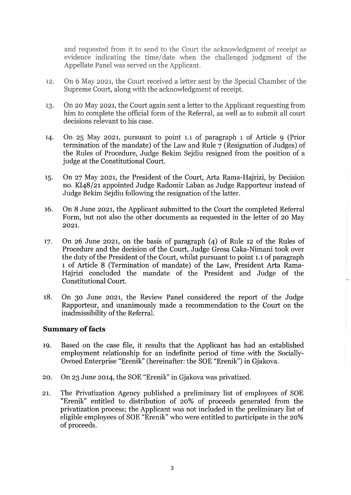and requested from it to send to the Court the acknowledgment of receipt as evidence indicating the time/date when the challenged judgment of the Appellate Panel was served on the Applicant.

- On 6 May 2021, the Court received a letter sent by the Special Chamber of the 12. Supreme Court, along with the acknowledgment of receipt.
- On 20 May 2021, the Court again sent a letter to the Applicant requesting from 13. him to complete the official form of the Referral, as well as to submit all court decisions relevant to his case.
- On 25 May 2021, pursuant to point 1.1 of paragraph 1 of Article 9 (Prior 14. termination of the mandate) of the Law and Rule 7 (Resignation of Judges) of the Rules of Procedure, Judge Bekim Sejdiu resigned from the position of a judge at the Constitutional Court.
- 15. On 27 May 2021, the President of the Court, Arta Rama-Hajrizi, by Decision no. KI48/21 appointed Judge Radomir Laban as Judge Rapporteur instead of Judge Bekim Sejdiu following the resignation of the latter.
- 16. On 8 June 2021, the Applicant submitted to the Court the completed Referral Form, but not also the other documents as requested in the letter of 20 May 2021.
- 17. On 26 June 2021, on the basis of paragraph (4) of Rule 12 of the Rules of Procedure and the decision of the Court, Judge Gresa Caka-Nimani took over the duty of the President of the Court, whilst pursuant to point 1.1 of paragraph 1 of Article 8 (Termination of mandate) of the Law, President Arta Rama-Hajrizi concluded the mandate of the President and Judge of the Constitutional Court.
- 18. On 30 June 2021, the Review Panel considered the report of the Judge Rapporteur, and unanimously made a recommendation to the Court on the inadmissibility of the Referral.

#### **Summary of facts**

- 19. Based on the case file, it results that the Applicant has had an established employment relationship for an indefinite period of time with the Socially-Owned Enterprise "Erenik" (hereinafter: the SOE "Erenik") in Gjakova.
- 20. On 23 June 2014, the SOE "Erenik" in Gjakova was privatized.
- 21. The Privatization Agency published a preliminary list of employees of SOE "Erenik" entitled to distribution of 20% of proceeds generated from the privatization process; the Applicant was not included in the preliminary list of eligible employees of SOE "Erenik" who were entitled to participate in the 20% of proceeds.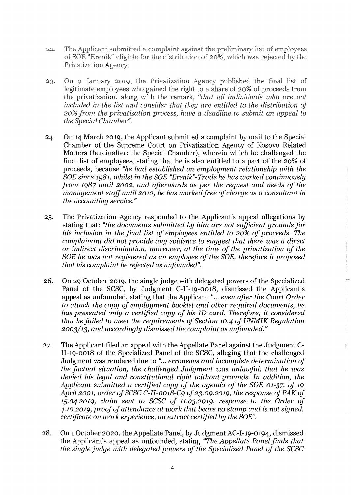- $22.$ The Applicant submitted a complaint against the preliminary list of employees of SOE "Erenik" eligible for the distribution of 20%, which was rejected by the Privatization Agency.
- $23.$ On 9 January 2019, the Privatization Agency published the final list of legitimate employees who gained the right to a share of 20% of proceeds from the privatization, along with the remark, "that all individuals who are not included in the list and consider that they are entitled to the distribution of 20% from the privatization process, have a deadline to submit an appeal to *the Special Chamber".*
- 24. On 14 March 2019, the Applicant submitted a complaint by mail to the Special Chamber of the Supreme Court on Privatization Agency of Kosovo Related Matters (hereinafter: the Special Chamber), wherein which he challenged the final list of employees, stating that he is also entitled to a part of the 20% of proceeds, because *"he had established* an *employment relationship with the SOE since* 1981, *whilst in the SOE "Erenik"-Trade he has worked continuously from* 1987 *until 2002, and afterwards* as *per the request and needs of the management staff until 2012, he has worked free of charge* as a *consultant in the accounting service."*
- 25. The Privatization Agency responded to the Applicant's appeal allegations by stating that: *"the documents submitted by him are not sufficient grounds for his inclusion in the final list of employees entitled to 20% of proceeds. The complainant did not provide any evidence to suggest that there was* a *direct or indirect discrimination, moreover, at the time of the privatization of the SOE he was not registered* as an *employee of the SOE, therefore it proposed that his complaint be rejected* as *unfounded".*
- 26. On 29 October 2019, the single judge with delegated powers of the Specialized Panel of the SCSC, by Judgment C-II-19-0018, dismissed the Applicant's appeal as unfounded, stating that the Applicant "... *even after the Court Order to attach the copy of employment booklet and other required documents, he has presented only* a *certified copy of his ID card. Therefore, it considered that he failed to meet the requirements of Section 10.4 of UNMIK Regulation 2003/13, and accordingly dismissed the complaint* as *unfounded."*
- 27. The Applicant filed an appeal with the Appellate Panel against the Judgment C-11-19-0018 of the Specialized Panel of the SCSC, alleging that the challenged Judgment was rendered due to "... *erroneous and incomplete determination of the factual situation, the challenged Judgment was unlawful, that he was denied his legal and constitutional right without grounds. In addition, the Applicant submitted* a *certified copy of the agenda of the SOE 01-37, of 19 April 2001, order of SCSC C-II-0018-C9 of 23.09.2019, the response of PAK of 15.04.2019, claim sent to SCSC of 11.03.2019, response to the Order of 4.10.2019, proof of attendance at work that bears* no *stamp and is not signed, certificate* on *work experience,* an *extract certified by the SOE".*
- 28. On 1 October 2020, the Appellate Panel, by Judgment AC-1-19-0194, dismissed the Applicant's appeal as unfounded, stating *"The Appellate Panel finds that the single judge with delegated powers of the Specialized Panel of the SCSC*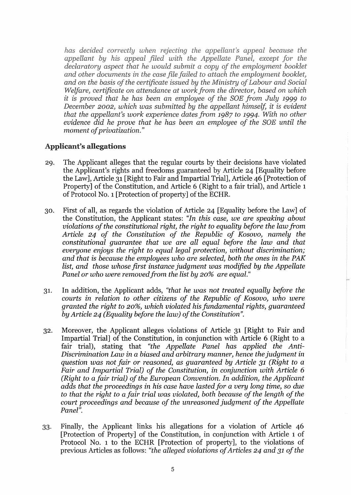has decided correctly when rejecting the appellant's appeal because the appellant by his appeal filed with the Appellate Panel, except for the declaratory aspect that he would submit a copy of the employment booklet and other documents in the case file failed to attach the employment booklet, and on the basis of the certificate issued by the Ministry of Labour and Social Welfare, certificate on attendance at work from the director, based on which it is proved that he has been an employee of the SOE from July 1999 to December 2002, which was submitted by the appellant himself, it is evident *that the appellant's work experience dates from 1987 to 1994. With no other evidence did he prove moment of privatization."* 

### Applicant's allegations

- 29. The Applicant alleges that the regular courts by their decisions have violated the Applicant's rights and freedoms guaranteed by Article 24 [Equality before the Law], Article 31 [Right to Fair and Impartial Trial], Article 46 [Protection of Property] of the Constitution, and Article 6 (Right to a fair trial), and Article 1 of Protocol NO.1 [Protection of property] of the ECHR.
- 30. First of all, as regards the violation of Article 24 [Equality before the Law] of the Constitution, the Applicant states: *"In this case, we are speaking about violations of the constitutional right, the right to equality before the law from Article* 24 *of the Constitution of the Republic of Kosovo, namely the constitutional guarantee that we are all equal before the law and that everyone enjoys the right to equal legal protection, without discrimination; and that is because the employees who are selected, both the ones in the PAK list, and those whose first instance judgment was modified by the Appellate Panel or who were removed from the list by 20% are equal.*"
- 31. In addition, the Applicant adds, *"that he was not treated equally before the courts in relation to other citizens of the Republic of Kosovo, who were granted the right to* 20%, *which violated his fundamental rights, guaranteed by Article* 24 *(Equality before the law) of the Constitution".*
- 32. Moreover, the Applicant alleges violations of Article 31 [Right to Fair and Impartial Trial] of the Constitution, in conjunction with Article 6 (Right to a fair trial), stating that *"the Appellate Panel has applied the Anti-Discrimination Law* in *a biased and arbitrary manner, hence the judgment* in *question was not fair or reasoned, as guaranteed by Article* 31 *(Right to a Fair and Impartial Trial) of the Constitution,* in *conjunction with Article 6 (Right to afair trial) of the European Convention. In addition, the Applicant adds that the proceedings in his case have lastedfor a very long time,* so *due to that the right to afair trial was violated, both because of the length of the court proceedings and because of the unreasoned judgment of the Appellate Panel".*
- 33. Finally, the Applicant links his allegations for a violation of Article 46 [Protection of Property] of the Constitution, in conjunction with Article 1 of Protocol No. 1 to the ECHR [Protection of property], to the violations of previous Articles as follows: *"the alleged violations of Articles* 24 *and* 31 *of the*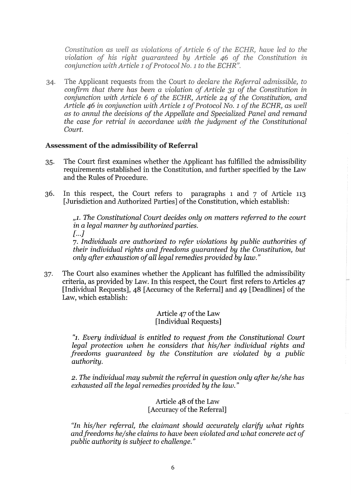Constitution as well as violations of Article 6 of the ECHR, have led to the violation of his right quaranteed by Article 46 of the Constitution in conjunction with Article 1 of Protocol No. 1 to the ECHR".

The Applicant requests from the Court to declare the Referral admissible, to 34. confirm that there has been a violation of Article 31 of the Constitution in conjunction with Article 6 of the ECHR, Article 24 of the Constitution, and Article 46 in conjunction with Article 1 of Protocol No. 1 of the ECHR, as well as to annul the decisions of the Appellate and Specialized Panel and remand *the case for retrial in accordance with the judgment of the Constitutional Court.* 

### Assessment of the admissibility of Referral

- 35. The Court first examines whether the Applicant has fulfilled the admissibility requirements established in the Constitution, and further specified by the Law and the Rules of Procedure.
- 36. In this respect, the Court refers to paragraphs 1 and 7 of Article 113 [Jurisdiction and Authorized Parties] of the Constitution, which establish:

*,,1. The Constitutional Court decides only* on *matters referred to the court in a legal manner by authorized parties.*   $[1...]$ *7. Individuals are authorized to refer violations by public authorities of* 

*their individual rights and freedoms guaranteed by the Constitution, but only after exhaustion of all legal remedies provided by law."* 

37. The Court also examines whether the Applicant has fulfilled the admissibility criteria, as provided by Law. In this respect, the Court first refers to Articles 47 [Individual Requests], 48 [Accuracy of the Referral] and 49 [Deadlines] of the Law, which establish:

> Article 47 of the Law [Individual Requests]

*"1. Every individual is entitled to request from the Constitutional Court legal protection when he considers that his/her individual rights and freedoms guaranteed by the Constitution are violated by a public authority.* 

2. *The individual may submit the referral in question only after he/she has exhausted all the legal remedies provided by the law."* 

> Article 48 of the Law [Accuracy of the Referral]

*"In his/her referral, the claimant should accurately clarify what rights andfreedoms he/she claims to have been violated and what concrete act of public authority is subject to challenge."*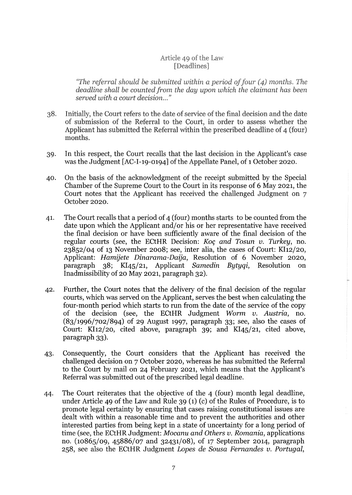### Article 49 of the Law [Deadlines]

"The referral should be submitted within a period of four  $(4)$  months. The deadline shall be counted from the day upon which the claimant has been served with a court decision..."

- 38. Initially, the Court refers to the date of service of the final decision and the date of submission of the Referral to the Court, in order to assess whether the Applicant has submitted the Referral within the prescribed deadline of 4 (four) months.
- 39. In this respect, the Court recalls that the last decision in the Applicant's case was the Judgment [AC-I-19-0194] of the Appellate Panel, of 1 October 2020.
- 40. On the basis of the acknowledgment of the receipt submitted by the Special Chamber of the Supreme Court to the Court in its response of 6 May 2021, the Court notes that the Applicant has received the challenged Judgment on 7 October 2020.
- 41. The Court recalls that a period of 4 (four) months starts to be counted from the date upon which the Applicant and/or his or her representative have received the final decision or have been sufficiently aware of the final decision of the regular courts (see, the ECtHR Decision: *Koc and Tosun v. Turkey*, no. 23852/04 of 13 November 2008; see, inter alia, the cases of Court: KI12/20, Applicant: *Hamijete Dinarama-Daija,* Resolution of 6 November 2020, paragraph 38; KI45/21, Applicant *Samedin Bytyqi,* Resolution on Inadmissibility of 20 May 2021, paragraph 32).
- 42. Further, the Court notes that the delivery of the final decision of the regular courts, which was served on the Applicant, serves the best when calculating the four-month period which starts to run from the date of the service of the copy of the decision (see, the ECtHR Judgment *Worm v. Austria,* no. (83/1996/702/894) of 29 August 1997, paragraph 33; see, also the cases of Court: KI12/20, cited above, paragraph 39; and KI45/21, cited above, paragraph 33).
- 43. Consequently, the Court considers that the Applicant has received the challenged decision on 7 October 2020, whereas he has submitted the Referral to the Court by mail on 24 February 2021, which means that the Applicant's Referral was submitted out of the prescribed legal deadline.
- 44. The Court reiterates that the objective of the 4 (four) month legal deadline, under Article 49 of the Law and Rule 39 (1) (c) of the Rules of Procedure, is to promote legal certainty by ensuring that cases raising constitutional issues are dealt with within a reasonable time and to prevent the authorities and other interested parties from being kept in a state of uncertainty for a long period of time (see, the ECtHR Judgment: *Mocanu and Others v. Romania,* applications no. (10865/09, 45886/07 and 32431/08), of 17 September 2014, paragraph 258, see also the ECtHR Judgment *Lopes* de *Sousa Fernandes v. Portugal,*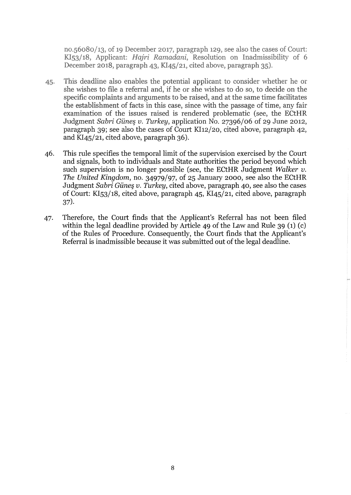no.56080/13, of 19 December 2017, paragraph 129, see also the cases of Court: KI53/18, Applicant: Hajri Ramadani, Resolution on Inadmissibility of 6 December 2018, paragraph 43, KI45/21, cited above, paragraph 35).

- This deadline also enables the potential applicant to consider whether he or 45. she wishes to file a referral and, if he or she wishes to do so, to decide on the specific complaints and arguments to be raised, and at the same time facilitates the establishment of facts in this case, since with the passage of time, any fair examination of the issues raised is rendered problematic (see, the ECtHR Judgment *Sabri Giine§ v. Turkey,* application No. 27396/06 of 29 June 2012, paragraph 39; see also the cases of Court KI12/20, cited above, paragraph 42, and KI45/21, cited above, paragraph 36).
- 46. This rule specifies the temporal limit of the supervision exercised by the Court and signals, both to individuals and State authorities the period beyond which such supervision is no longer possible (see, the ECtHR Judgment *Walker v. The United Kingdom,* no. 34979/97, of 25 January 2000, see also the ECtHR Judgment *Sabri Giine§ v. Turkey,* cited above, paragraph 40, see also the cases of Court: KI53/18, cited above, paragraph 45, KI45/21, cited above, paragraph 37).
- 47. Therefore, the Court finds that the Applicant's Referral has not been filed within the legal deadline provided by **Article** 49 of the Law and Rule 39 (1) (c) of the Rules of Procedure. Consequently, the Court finds that the Applicant's Referral is inadmissible because it was submitted out of the legal deadline.